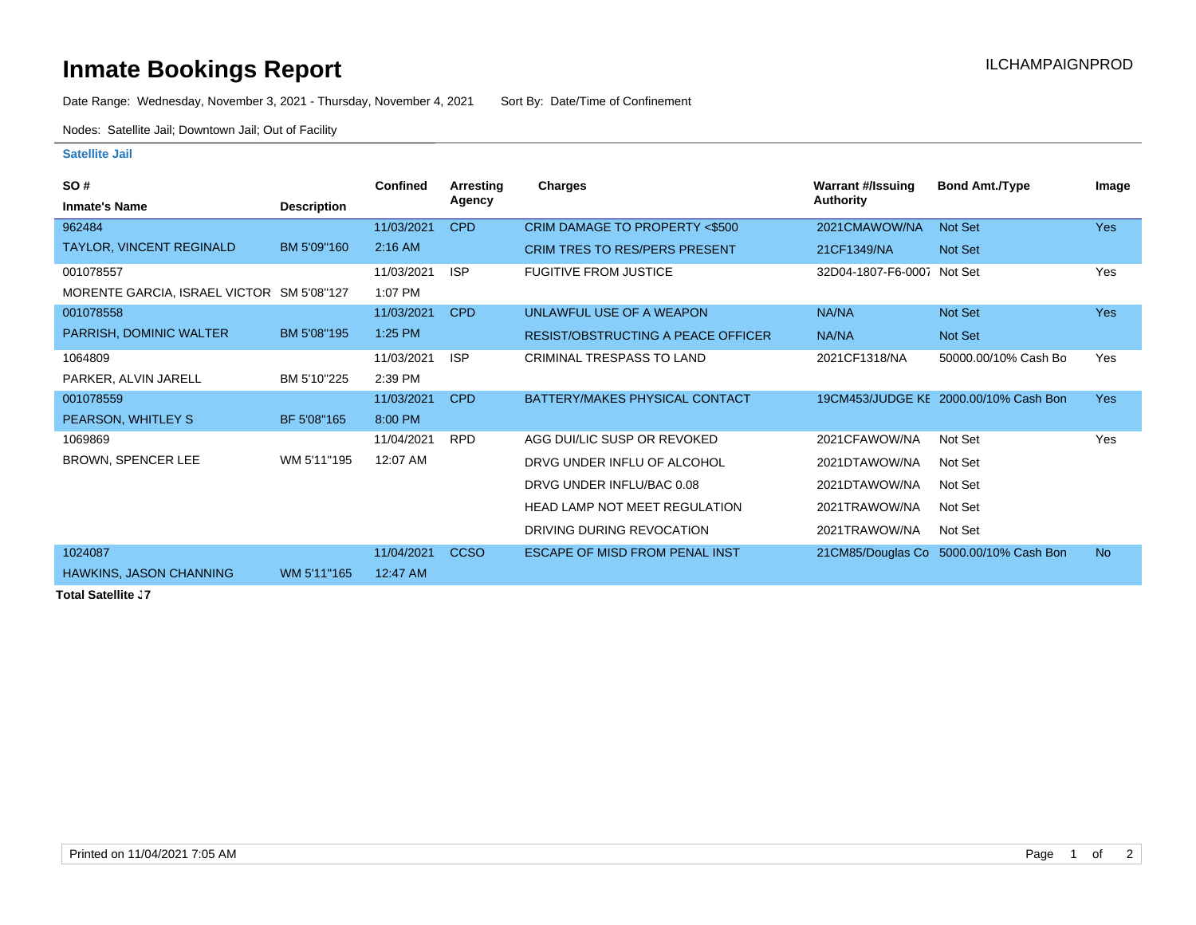## **Inmate Bookings Report Inmate Bookings Report**

Date Range: Wednesday, November 3, 2021 - Thursday, November 4, 2021 Sort By: Date/Time of Confinement

Nodes: Satellite Jail; Downtown Jail; Out of Facility

## **Satellite Jail**

| <b>SO#</b>                                |                    | <b>Confined</b> | Arresting   | Charges                               | <b>Warrant #/Issuing</b>   | <b>Bond Amt./Type</b>                  | Image      |
|-------------------------------------------|--------------------|-----------------|-------------|---------------------------------------|----------------------------|----------------------------------------|------------|
| <b>Inmate's Name</b>                      | <b>Description</b> |                 | Agency      |                                       | <b>Authority</b>           |                                        |            |
| 962484                                    |                    | 11/03/2021      | <b>CPD</b>  | CRIM DAMAGE TO PROPERTY <\$500        | 2021CMAWOW/NA              | Not Set                                | <b>Yes</b> |
| TAYLOR, VINCENT REGINALD                  | BM 5'09"160        | $2:16$ AM       |             | <b>CRIM TRES TO RES/PERS PRESENT</b>  | 21CF1349/NA                | Not Set                                |            |
| 001078557                                 |                    | 11/03/2021      | <b>ISP</b>  | <b>FUGITIVE FROM JUSTICE</b>          | 32D04-1807-F6-0007 Not Set |                                        | Yes        |
| MORENTE GARCIA, ISRAEL VICTOR SM 5'08"127 |                    | 1:07 PM         |             |                                       |                            |                                        |            |
| 001078558                                 |                    | 11/03/2021      | <b>CPD</b>  | UNLAWFUL USE OF A WEAPON              | <b>NA/NA</b>               | Not Set                                | <b>Yes</b> |
| PARRISH, DOMINIC WALTER                   | BM 5'08"195        | 1:25 PM         |             | RESIST/OBSTRUCTING A PEACE OFFICER    | NA/NA                      | Not Set                                |            |
| 1064809                                   |                    | 11/03/2021      | <b>ISP</b>  | CRIMINAL TRESPASS TO LAND             | 2021CF1318/NA              | 50000.00/10% Cash Bo                   | Yes        |
| PARKER, ALVIN JARELL                      | BM 5'10"225        | 2:39 PM         |             |                                       |                            |                                        |            |
| 001078559                                 |                    | 11/03/2021      | <b>CPD</b>  | BATTERY/MAKES PHYSICAL CONTACT        |                            | 19CM453/JUDGE KE 2000.00/10% Cash Bon  | <b>Yes</b> |
| PEARSON, WHITLEY S                        | BF 5'08"165        | 8:00 PM         |             |                                       |                            |                                        |            |
| 1069869                                   |                    | 11/04/2021      | <b>RPD</b>  | AGG DUI/LIC SUSP OR REVOKED           | 2021CFAWOW/NA              | Not Set                                | Yes        |
| BROWN, SPENCER LEE                        | WM 5'11"195        | 12:07 AM        |             | DRVG UNDER INFLU OF ALCOHOL           | 2021DTAWOW/NA              | Not Set                                |            |
|                                           |                    |                 |             | DRVG UNDER INFLU/BAC 0.08             | 2021DTAWOW/NA              | Not Set                                |            |
|                                           |                    |                 |             | <b>HEAD LAMP NOT MEET REGULATION</b>  | 2021TRAWOW/NA              | Not Set                                |            |
|                                           |                    |                 |             | DRIVING DURING REVOCATION             | 2021TRAWOW/NA              | Not Set                                |            |
| 1024087                                   |                    | 11/04/2021      | <b>CCSO</b> | <b>ESCAPE OF MISD FROM PENAL INST</b> |                            | 21CM85/Douglas Co 5000.00/10% Cash Bon | <b>No</b>  |
| <b>HAWKINS, JASON CHANNING</b>            | WM 5'11"165        | 12:47 AM        |             |                                       |                            |                                        |            |

**Total Satellite J7**